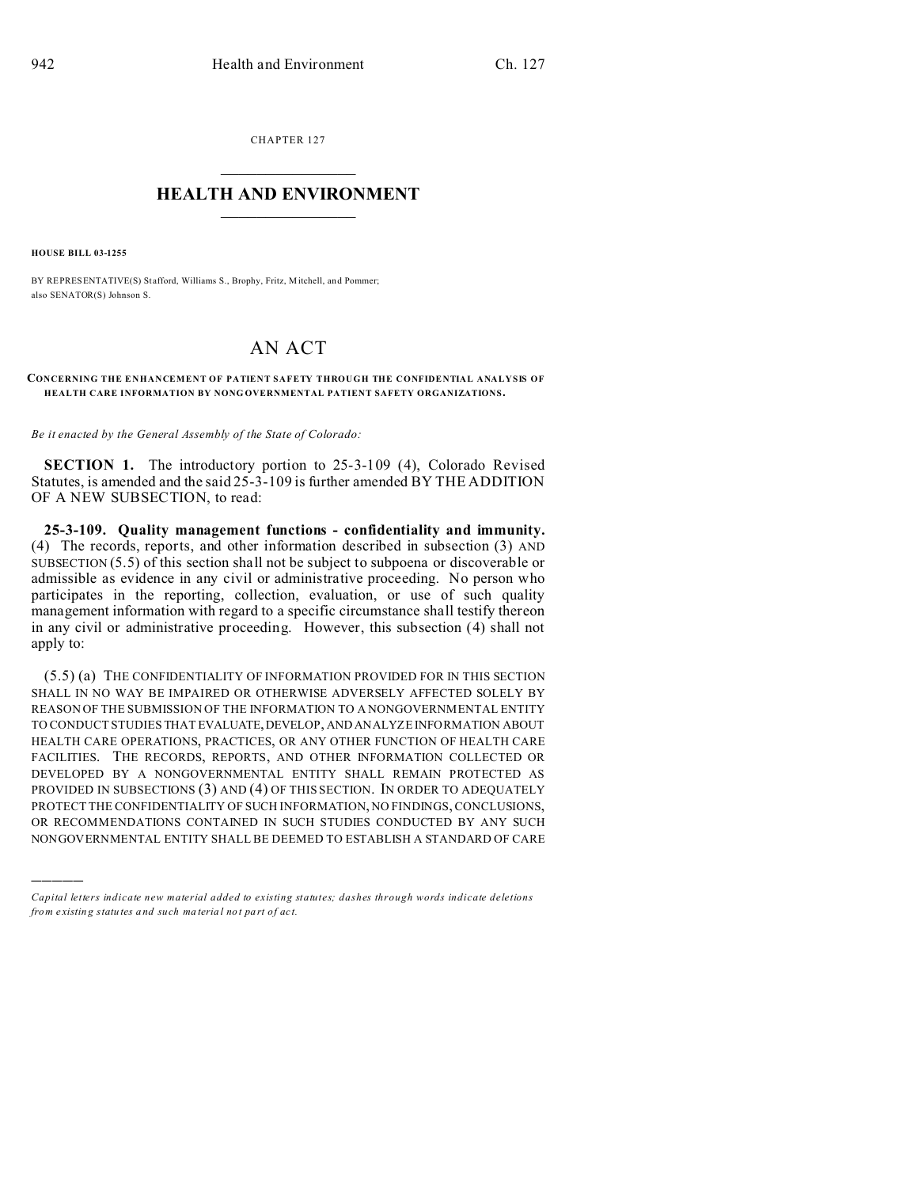CHAPTER 127  $\overline{\phantom{a}}$  , where  $\overline{\phantom{a}}$ 

## **HEALTH AND ENVIRONMENT**  $\_$   $\_$   $\_$   $\_$   $\_$   $\_$   $\_$   $\_$

**HOUSE BILL 03-1255**

)))))

BY REPRESENTATIVE(S) Stafford, Williams S., Brophy, Fritz, Mitchell, and Pommer; also SENATOR(S) Johnson S.

## AN ACT

## **CONCERNING THE E NHANCEMENT OF PATIENT SAFETY THROUGH THE CONFIDENTIAL ANALYSIS OF HEALTH CARE INFORMATION BY NONG OVERNMENTAL PATIENT SAFETY ORGANIZATIONS.**

*Be it enacted by the General Assembly of the State of Colorado:*

**SECTION 1.** The introductory portion to 25-3-109 (4), Colorado Revised Statutes, is amended and the said  $25-3-109$  is further amended  $\overrightarrow{BY}$  THE ADDITION OF A NEW SUBSECTION, to read:

**25-3-109. Quality management functions - confidentiality and immunity.** (4) The records, reports, and other information described in subsection (3) AND SUBSECTION (5.5) of this section shall not be subject to subpoena or discoverable or admissible as evidence in any civil or administrative proceeding. No person who participates in the reporting, collection, evaluation, or use of such quality management information with regard to a specific circumstance shall testify thereon in any civil or administrative proceeding. However, this subsection (4) shall not apply to:

(5.5) (a) THE CONFIDENTIALITY OF INFORMATION PROVIDED FOR IN THIS SECTION SHALL IN NO WAY BE IMPAIRED OR OTHERWISE ADVERSELY AFFECTED SOLELY BY REASON OF THE SUBMISSION OF THE INFORMATION TO A NONGOVERNMENTAL ENTITY TO CONDUCT STUDIES THAT EVALUATE,DEVELOP, AND ANALYZE INFORMATION ABOUT HEALTH CARE OPERATIONS, PRACTICES, OR ANY OTHER FUNCTION OF HEALTH CARE FACILITIES. THE RECORDS, REPORTS, AND OTHER INFORMATION COLLECTED OR DEVELOPED BY A NONGOVERNMENTAL ENTITY SHALL REMAIN PROTECTED AS PROVIDED IN SUBSECTIONS (3) AND (4) OF THIS SECTION. IN ORDER TO ADEQUATELY PROTECT THE CONFIDENTIALITY OF SUCH INFORMATION, NO FINDINGS, CONCLUSIONS, OR RECOMMENDATIONS CONTAINED IN SUCH STUDIES CONDUCTED BY ANY SUCH NONGOVERNMENTAL ENTITY SHALL BE DEEMED TO ESTABLISH A STANDARD OF CARE

*Capital letters indicate new material added to existing statutes; dashes through words indicate deletions from e xistin g statu tes a nd such ma teria l no t pa rt of ac t.*